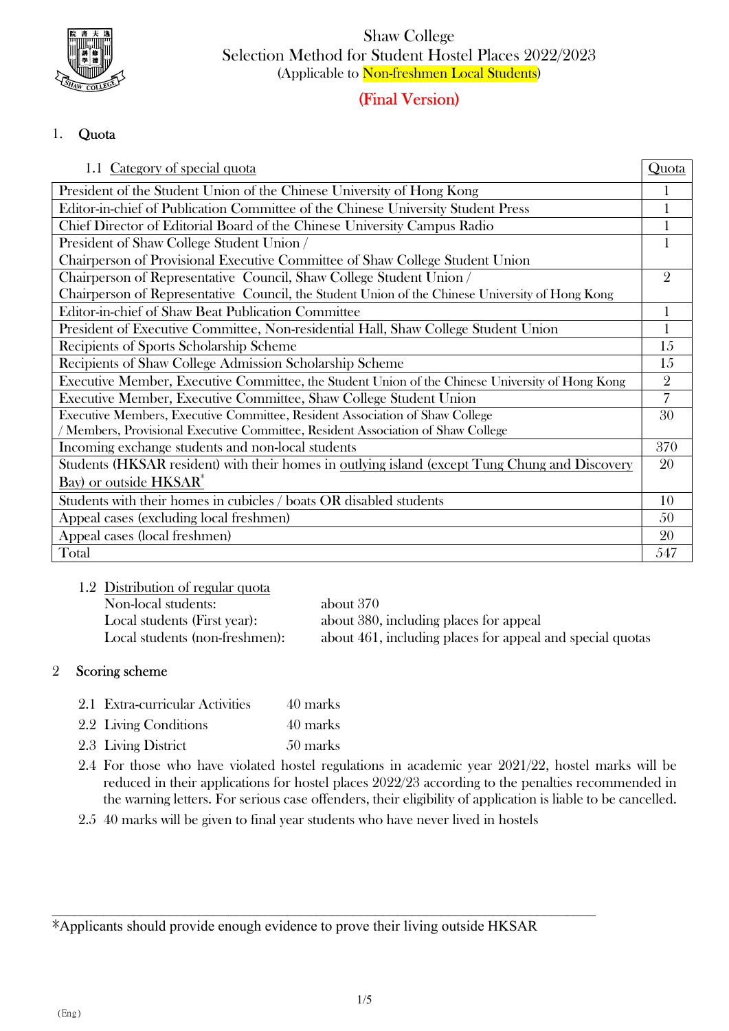

Shaw College Selection Method for Student Hostel Places 2022/2023 (Applicable to Non-freshmen Local Students)

# (Final Version)

## 1. Quota

| 1.1 Category of special quota                                                                   | Quota          |
|-------------------------------------------------------------------------------------------------|----------------|
| President of the Student Union of the Chinese University of Hong Kong                           |                |
| Editor-in-chief of Publication Committee of the Chinese University Student Press                |                |
| Chief Director of Editorial Board of the Chinese University Campus Radio                        |                |
| President of Shaw College Student Union /                                                       |                |
| Chairperson of Provisional Executive Committee of Shaw College Student Union                    |                |
| Chairperson of Representative Council, Shaw College Student Union /                             | $\overline{2}$ |
| Chairperson of Representative Council, the Student Union of the Chinese University of Hong Kong |                |
| <b>Editor-in-chief of Shaw Beat Publication Committee</b>                                       |                |
| President of Executive Committee, Non-residential Hall, Shaw College Student Union              |                |
| Recipients of Sports Scholarship Scheme                                                         | 15             |
| Recipients of Shaw College Admission Scholarship Scheme                                         | 15             |
| Executive Member, Executive Committee, the Student Union of the Chinese University of Hong Kong | $\overline{2}$ |
| Executive Member, Executive Committee, Shaw College Student Union                               | $\overline{7}$ |
| Executive Members, Executive Committee, Resident Association of Shaw College                    | 30             |
| Members, Provisional Executive Committee, Resident Association of Shaw College                  |                |
| Incoming exchange students and non-local students                                               | 370            |
| Students (HKSAR resident) with their homes in outlying island (except Tung Chung and Discovery  | 20             |
| Bay) or outside HKSAR <sup>*</sup>                                                              |                |
| Students with their homes in cubicles / boats OR disabled students                              | 10             |
| Appeal cases (excluding local freshmen)                                                         | 50             |
| Appeal cases (local freshmen)                                                                   | 20             |
| Total                                                                                           | 547            |

1.2 Distribution of regular quota Non-local students: about 370 Local students (First year): about 380, including places for appeal Local students (non-freshmen): about 461, including places for appeal and special quotas

## 2 Scoring scheme

- 2.1 Extra-curricular Activities 40 marks
- 2.2 Living Conditions 40 marks
- 2.3 Living District 50 marks
- 2.4 For those who have violated hostel regulations in academic year 2021/22, hostel marks will be reduced in their applications for hostel places 2022/23 according to the penalties recommended in the warning letters. For serious case offenders, their eligibility of application is liable to be cancelled.
- 2.5 40 marks will be given to final year students who have never lived in hostels

\*Applicants should provide enough evidence to prove their living outside HKSAR

 $\_$  , and the set of the set of the set of the set of the set of the set of the set of the set of the set of the set of the set of the set of the set of the set of the set of the set of the set of the set of the set of th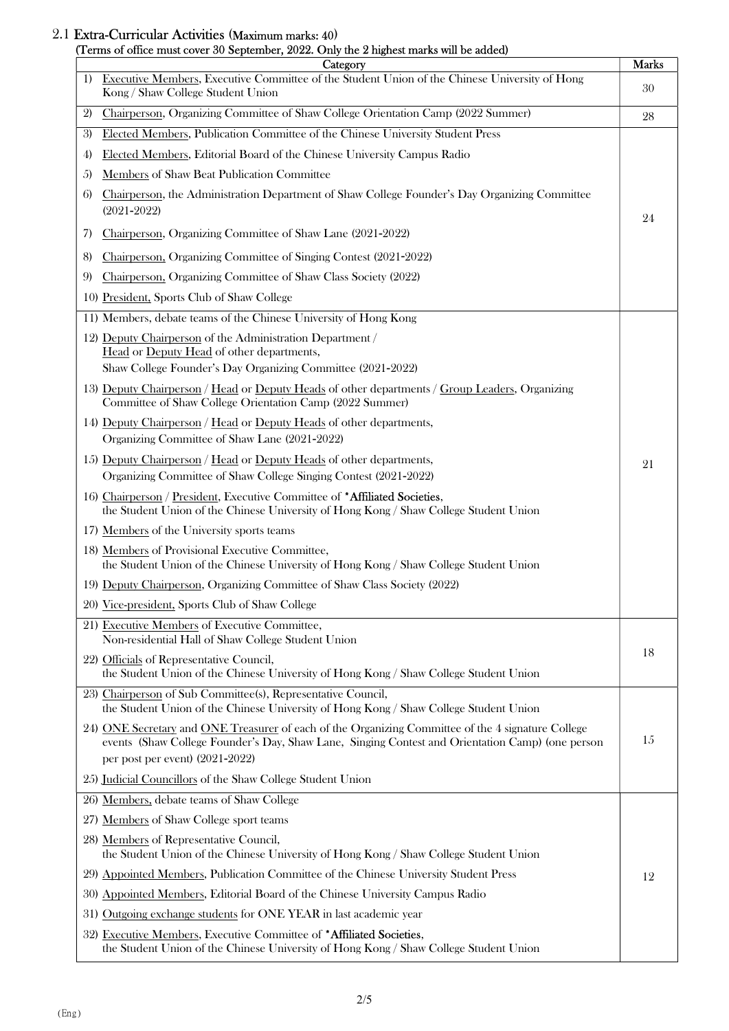#### 2.1 Extra-Curricular Activities (Maximum marks: 40) (Terms of office must cover 30 September, 2022. Only the 2 highest marks will be added)

| I CHIIS OF OINCE HIUST COVER OU SEPTEMBER, 2022. OTHY THE 2 HIGHEST HIGHS WILL DE AQUEQ.<br>Category                                                                                                                                        | <b>Marks</b> |
|---------------------------------------------------------------------------------------------------------------------------------------------------------------------------------------------------------------------------------------------|--------------|
| Executive Members, Executive Committee of the Student Union of the Chinese University of Hong<br>1)<br>Kong / Shaw College Student Union                                                                                                    | 30           |
| Chairperson, Organizing Committee of Shaw College Orientation Camp (2022 Summer)<br>2)                                                                                                                                                      | 28           |
| Elected Members, Publication Committee of the Chinese University Student Press<br>3)                                                                                                                                                        |              |
| Elected Members, Editorial Board of the Chinese University Campus Radio<br>4                                                                                                                                                                |              |
| Members of Shaw Beat Publication Committee<br>5)                                                                                                                                                                                            |              |
| Chairperson, the Administration Department of Shaw College Founder's Day Organizing Committee<br>6)<br>$(2021 - 2022)$                                                                                                                      | 24           |
| Chairperson, Organizing Committee of Shaw Lane (2021-2022)<br>7)                                                                                                                                                                            |              |
| Chairperson, Organizing Committee of Singing Contest (2021-2022)<br>8)                                                                                                                                                                      |              |
| Chairperson, Organizing Committee of Shaw Class Society (2022)<br>9                                                                                                                                                                         |              |
| 10) President, Sports Club of Shaw College                                                                                                                                                                                                  |              |
| 11) Members, debate teams of the Chinese University of Hong Kong                                                                                                                                                                            |              |
| 12) Deputy Chairperson of the Administration Department /<br>Head or Deputy Head of other departments,                                                                                                                                      |              |
| Shaw College Founder's Day Organizing Committee (2021-2022)                                                                                                                                                                                 |              |
| 13) Deputy Chairperson / Head or Deputy Heads of other departments / Group Leaders, Organizing<br>Committee of Shaw College Orientation Camp (2022 Summer)                                                                                  |              |
| 14) Deputy Chairperson / Head or Deputy Heads of other departments,<br>Organizing Committee of Shaw Lane (2021-2022)                                                                                                                        |              |
| 15) Deputy Chairperson / Head or Deputy Heads of other departments,<br>Organizing Committee of Shaw College Singing Contest (2021-2022)                                                                                                     | 21           |
| 16) Chairperson / President, Executive Committee of *Affiliated Societies,<br>the Student Union of the Chinese University of Hong Kong / Shaw College Student Union                                                                         |              |
| 17) Members of the University sports teams                                                                                                                                                                                                  |              |
| 18) Members of Provisional Executive Committee,<br>the Student Union of the Chinese University of Hong Kong / Shaw College Student Union                                                                                                    |              |
| 19) Deputy Chairperson, Organizing Committee of Shaw Class Society (2022)                                                                                                                                                                   |              |
| 20) Vice-president, Sports Club of Shaw College                                                                                                                                                                                             |              |
| 21) Executive Members of Executive Committee,<br>Non-residential Hall of Shaw College Student Union                                                                                                                                         |              |
| 22) Officials of Representative Council,                                                                                                                                                                                                    | 18           |
| the Student Union of the Chinese University of Hong Kong / Shaw College Student Union                                                                                                                                                       |              |
| 23) Chairperson of Sub Committee(s), Representative Council,<br>the Student Union of the Chinese University of Hong Kong / Shaw College Student Union                                                                                       |              |
| 24) ONE Secretary and ONE Treasurer of each of the Organizing Committee of the 4 signature College<br>events (Shaw College Founder's Day, Shaw Lane, Singing Contest and Orientation Camp) (one person<br>per post per event) $(2021-2022)$ | 15           |
| 25) Judicial Councillors of the Shaw College Student Union                                                                                                                                                                                  |              |
| 26) Members, debate teams of Shaw College                                                                                                                                                                                                   |              |
| 27) Members of Shaw College sport teams                                                                                                                                                                                                     |              |
| 28) Members of Representative Council,<br>the Student Union of the Chinese University of Hong Kong / Shaw College Student Union                                                                                                             |              |
| 29) Appointed Members, Publication Committee of the Chinese University Student Press                                                                                                                                                        | 12           |
| 30) Appointed Members, Editorial Board of the Chinese University Campus Radio                                                                                                                                                               |              |
| 31) Outgoing exchange students for ONE YEAR in last academic year                                                                                                                                                                           |              |
| 32) Executive Members, Executive Committee of *Affiliated Societies,<br>the Student Union of the Chinese University of Hong Kong / Shaw College Student Union                                                                               |              |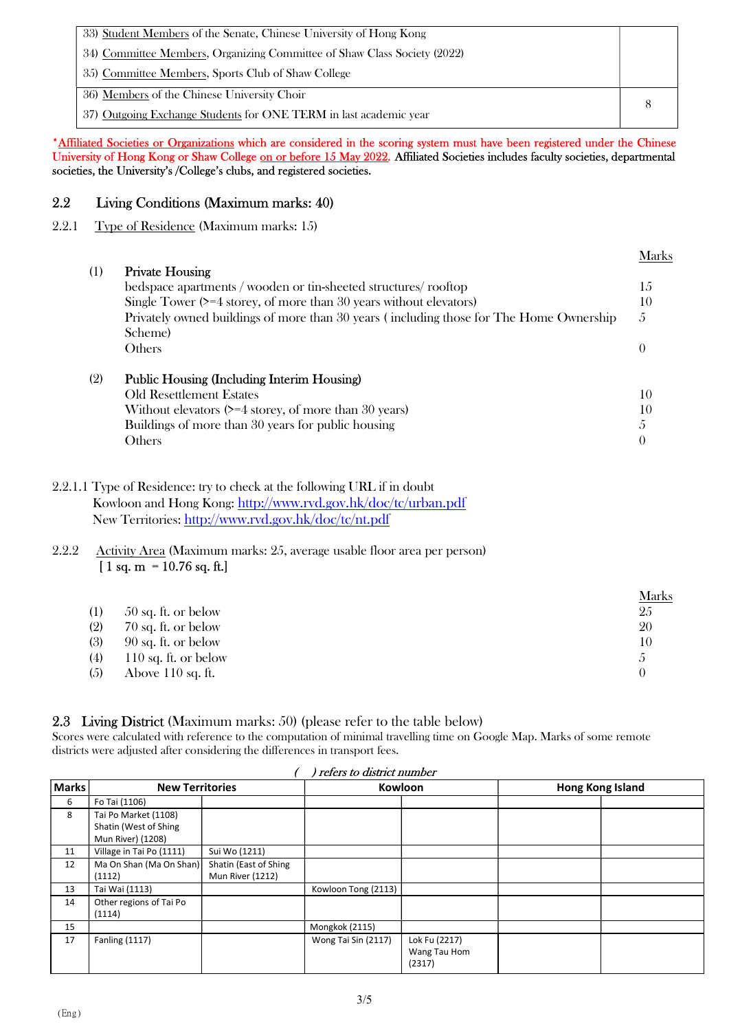| 33) Student Members of the Senate, Chinese University of Hong Kong       |  |
|--------------------------------------------------------------------------|--|
| 34) Committee Members, Organizing Committee of Shaw Class Society (2022) |  |
| 35) Committee Members, Sports Club of Shaw College                       |  |
| 36) Members of the Chinese University Choir                              |  |
| 37) Outgoing Exchange Students for ONE TERM in last academic year        |  |

#### \*Affiliated Societies or Organizations which are considered in the scoring system must have been registered under the Chinese University of Hong Kong or Shaw College on or before 15 May 2022. Affiliated Societies includes faculty societies, departmental societies, the University's /College's clubs, and registered societies.

## 2.2 Living Conditions (Maximum marks: 40)

## 2.2.1 Type of Residence (Maximum marks: 15)

| (1) | <b>Private Housing</b>                                                                             | Marks         |
|-----|----------------------------------------------------------------------------------------------------|---------------|
|     | bedspace apartments / wooden or tin-sheeted structures rooftop                                     | 15            |
|     | Single Tower $(>= 4$ storey, of more than 30 years without elevators)                              | 10            |
|     | Privately owned buildings of more than 30 years (including those for The Home Ownership<br>Scheme) | $\mathcal{L}$ |
|     | <b>Others</b>                                                                                      | $\theta$      |
| (2) | Public Housing (Including Interim Housing)                                                         |               |
|     | <b>Old Resettlement Estates</b>                                                                    | 10            |
|     | Without elevators $(>= 4$ storey, of more than 30 years)                                           | 10            |
|     | Buildings of more than 30 years for public housing                                                 | 5             |
|     | Others                                                                                             | $\theta$      |

Marks

2.2.1.1 Type of Residence: try to check at the following URL if in doubt Kowloon and Hong Kong: http://www.rvd.gov.hk/doc/tc/urban.pdf New Territories: http://www.rvd.gov.hk/doc/tc/nt.pdf

## 2.2.2 Activity Area (Maximum marks: 25, average usable floor area per person)  $[1 sq. m = 10.76 sq. ft.]$

|                  |                       | <u>Marks</u> |
|------------------|-----------------------|--------------|
| $\left(1\right)$ | $50$ sq. ft. or below | 25           |
| (2)              | 70 sq. ft. or below   | 20           |
| (3)              | $90$ sq. ft. or below | 10           |
| (4)              | 110 sq. ft. or below  | Ő            |
| (5)              | Above $110$ sq. ft.   | $\left($     |

## 2.3 Living District (Maximum marks: 50) (please refer to the table below)

Scores were calculated with reference to the computation of minimal travelling time on Google Map. Marks of some remote districts were adjusted after considering the differences in transport fees.

| <b>Marks</b> | <b>New Territories</b>   |                       | Kowloon             |               | Hong Kong Island |  |
|--------------|--------------------------|-----------------------|---------------------|---------------|------------------|--|
| 6            | Fo Tai (1106)            |                       |                     |               |                  |  |
| 8            | Tai Po Market (1108)     |                       |                     |               |                  |  |
|              | Shatin (West of Shing    |                       |                     |               |                  |  |
|              | Mun River) (1208)        |                       |                     |               |                  |  |
| 11           | Village in Tai Po (1111) | Sui Wo (1211)         |                     |               |                  |  |
| 12           | Ma On Shan (Ma On Shan)  | Shatin (East of Shing |                     |               |                  |  |
|              | (1112)                   | Mun River (1212)      |                     |               |                  |  |
| 13           | Tai Wai (1113)           |                       | Kowloon Tong (2113) |               |                  |  |
| 14           | Other regions of Tai Po  |                       |                     |               |                  |  |
|              | (1114)                   |                       |                     |               |                  |  |
| 15           |                          |                       | Mongkok (2115)      |               |                  |  |
| 17           | <b>Fanling (1117)</b>    |                       | Wong Tai Sin (2117) | Lok Fu (2217) |                  |  |
|              |                          |                       |                     | Wang Tau Hom  |                  |  |
|              |                          |                       |                     | (2317)        |                  |  |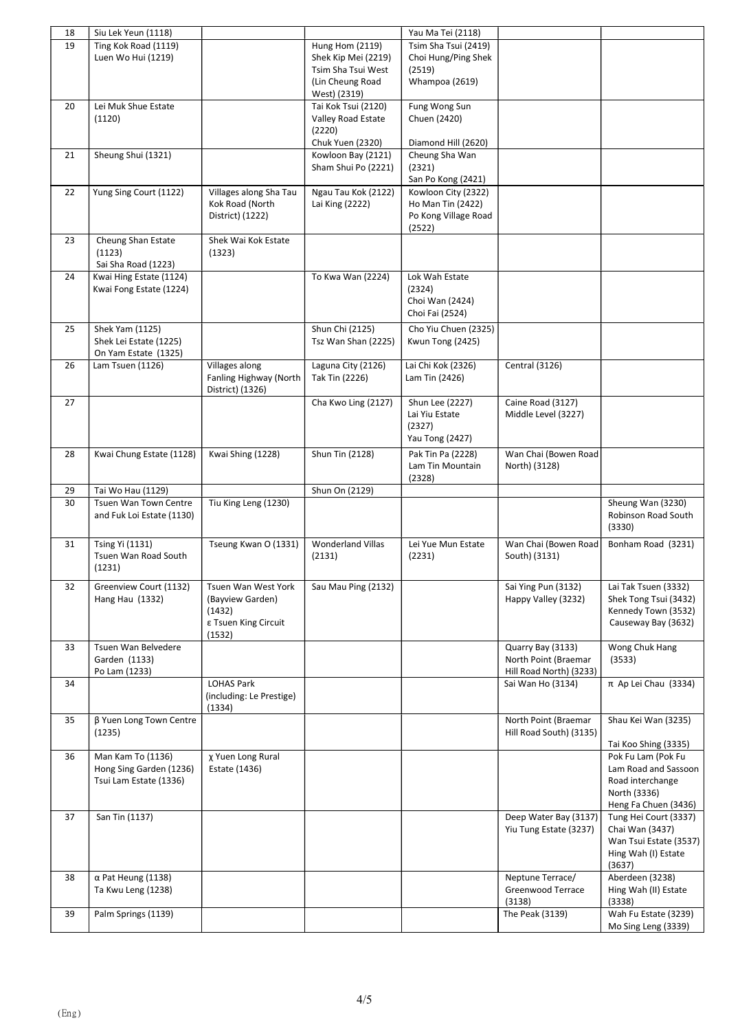| 18       | Siu Lek Yeun (1118)                            |                                               |                                  | Yau Ma Tei (2118)                        |                         |                                                                       |
|----------|------------------------------------------------|-----------------------------------------------|----------------------------------|------------------------------------------|-------------------------|-----------------------------------------------------------------------|
| 19       | Ting Kok Road (1119)                           |                                               | Hung Hom (2119)                  | Tsim Sha Tsui (2419)                     |                         |                                                                       |
|          | Luen Wo Hui (1219)                             |                                               | Shek Kip Mei (2219)              | Choi Hung/Ping Shek                      |                         |                                                                       |
|          |                                                |                                               | Tsim Sha Tsui West               | (2519)                                   |                         |                                                                       |
|          |                                                |                                               | (Lin Cheung Road<br>West) (2319) | Whampoa (2619)                           |                         |                                                                       |
| 20       | Lei Muk Shue Estate                            |                                               | Tai Kok Tsui (2120)              | Fung Wong Sun                            |                         |                                                                       |
|          | (1120)                                         |                                               | Valley Road Estate               | Chuen (2420)                             |                         |                                                                       |
|          |                                                |                                               | (2220)                           |                                          |                         |                                                                       |
|          |                                                |                                               | <b>Chuk Yuen (2320)</b>          | Diamond Hill (2620)                      |                         |                                                                       |
| 21       | Sheung Shui (1321)                             |                                               | Kowloon Bay (2121)               | Cheung Sha Wan                           |                         |                                                                       |
|          |                                                |                                               | Sham Shui Po (2221)              | (2321)                                   |                         |                                                                       |
|          |                                                |                                               |                                  | San Po Kong (2421)                       |                         |                                                                       |
| 22       | Yung Sing Court (1122)                         | Villages along Sha Tau<br>Kok Road (North     | Ngau Tau Kok (2122)              | Kowloon City (2322)<br>Ho Man Tin (2422) |                         |                                                                       |
|          |                                                | District) (1222)                              | Lai King (2222)                  | Po Kong Village Road                     |                         |                                                                       |
|          |                                                |                                               |                                  | (2522)                                   |                         |                                                                       |
| 23       | Cheung Shan Estate                             | Shek Wai Kok Estate                           |                                  |                                          |                         |                                                                       |
|          | (1123)                                         | (1323)                                        |                                  |                                          |                         |                                                                       |
|          | Sai Sha Road (1223)                            |                                               |                                  |                                          |                         |                                                                       |
| 24       | Kwai Hing Estate (1124)                        |                                               | To Kwa Wan (2224)                | Lok Wah Estate                           |                         |                                                                       |
|          | Kwai Fong Estate (1224)                        |                                               |                                  | (2324)                                   |                         |                                                                       |
|          |                                                |                                               |                                  | Choi Wan (2424)                          |                         |                                                                       |
|          |                                                |                                               |                                  | Choi Fai (2524)                          |                         |                                                                       |
| 25       | Shek Yam (1125)                                |                                               | Shun Chi (2125)                  | Cho Yiu Chuen (2325)                     |                         |                                                                       |
|          | Shek Lei Estate (1225)<br>On Yam Estate (1325) |                                               | Tsz Wan Shan (2225)              | Kwun Tong (2425)                         |                         |                                                                       |
| 26       | Lam Tsuen (1126)                               | Villages along                                | Laguna City (2126)               | Lai Chi Kok (2326)                       | <b>Central (3126)</b>   |                                                                       |
|          |                                                | Fanling Highway (North                        | Tak Tin (2226)                   | Lam Tin (2426)                           |                         |                                                                       |
|          |                                                | District) (1326)                              |                                  |                                          |                         |                                                                       |
| 27       |                                                |                                               | Cha Kwo Ling (2127)              | Shun Lee (2227)                          | Caine Road (3127)       |                                                                       |
|          |                                                |                                               |                                  | Lai Yiu Estate                           | Middle Level (3227)     |                                                                       |
|          |                                                |                                               |                                  | (2327)                                   |                         |                                                                       |
|          |                                                |                                               |                                  | <b>Yau Tong (2427)</b>                   |                         |                                                                       |
| 28       | Kwai Chung Estate (1128)                       | Kwai Shing (1228)                             | Shun Tin (2128)                  | Pak Tin Pa (2228)                        | Wan Chai (Bowen Road    |                                                                       |
|          |                                                |                                               |                                  | Lam Tin Mountain                         | North) (3128)           |                                                                       |
|          |                                                |                                               |                                  | (2328)                                   |                         |                                                                       |
| 29<br>30 | Tai Wo Hau (1129)<br>Tsuen Wan Town Centre     | Tiu King Leng (1230)                          | Shun On (2129)                   |                                          |                         | Sheung Wan (3230)                                                     |
|          | and Fuk Loi Estate (1130)                      |                                               |                                  |                                          |                         | Robinson Road South                                                   |
|          |                                                |                                               |                                  |                                          |                         | (3330)                                                                |
| 31       | Tsing Yi (1131)                                | Tseung Kwan O (1331)                          | <b>Wonderland Villas</b>         | Lei Yue Mun Estate                       | Wan Chai (Bowen Road    | Bonham Road (3231)                                                    |
|          | Tsuen Wan Road South                           |                                               | (2131)                           | (2231)                                   | South) (3131)           |                                                                       |
|          | (1231)                                         |                                               |                                  |                                          |                         |                                                                       |
| 32       | Greenview Court (1132)                         | Tsuen Wan West York                           | Sau Mau Ping (2132)              |                                          | Sai Ying Pun (3132)     | Lai Tak Tsuen (3332)                                                  |
|          | Hang Hau (1332)                                | (Bayview Garden)                              |                                  |                                          | Happy Valley (3232)     | Shek Tong Tsui (3432)                                                 |
|          |                                                | (1432)                                        |                                  |                                          |                         | Kennedy Town (3532)                                                   |
|          |                                                | ε Tsuen King Circuit                          |                                  |                                          |                         | Causeway Bay (3632)                                                   |
|          |                                                | (1532)                                        |                                  |                                          |                         |                                                                       |
| 33       | Tsuen Wan Belvedere                            |                                               |                                  |                                          | Quarry Bay (3133)       | Wong Chuk Hang                                                        |
|          | Garden (1133)                                  |                                               |                                  |                                          | North Point (Braemar    | (3533)                                                                |
|          | Po Lam (1233)                                  |                                               |                                  |                                          | Hill Road North) (3233) |                                                                       |
| 34       |                                                | <b>LOHAS Park</b><br>(including: Le Prestige) |                                  |                                          | Sai Wan Ho (3134)       | $\pi$ Ap Lei Chau (3334)                                              |
|          |                                                | (1334)                                        |                                  |                                          |                         |                                                                       |
| 35       | β Yuen Long Town Centre                        |                                               |                                  |                                          | North Point (Braemar    | Shau Kei Wan (3235)                                                   |
|          | (1235)                                         |                                               |                                  |                                          | Hill Road South) (3135) |                                                                       |
|          |                                                |                                               |                                  |                                          |                         | Tai Koo Shing (3335)                                                  |
| 36       | Man Kam To (1136)                              | χ Yuen Long Rural                             |                                  |                                          |                         | Pok Fu Lam (Pok Fu                                                    |
|          | Hong Sing Garden (1236)                        |                                               |                                  |                                          |                         | Lam Road and Sassoon                                                  |
|          |                                                | Estate (1436)                                 |                                  |                                          |                         |                                                                       |
|          | Tsui Lam Estate (1336)                         |                                               |                                  |                                          |                         | Road interchange                                                      |
|          |                                                |                                               |                                  |                                          |                         | North (3336)                                                          |
|          |                                                |                                               |                                  |                                          |                         | Heng Fa Chuen (3436)                                                  |
| 37       | San Tin (1137)                                 |                                               |                                  |                                          | Deep Water Bay (3137)   | Tung Hei Court (3337)                                                 |
|          |                                                |                                               |                                  |                                          | Yiu Tung Estate (3237)  | Chai Wan (3437)                                                       |
|          |                                                |                                               |                                  |                                          |                         | Hing Wah (I) Estate                                                   |
|          |                                                |                                               |                                  |                                          |                         | (3637)                                                                |
| 38       | $\alpha$ Pat Heung (1138)                      |                                               |                                  |                                          | Neptune Terrace/        | Aberdeen (3238)                                                       |
|          | Ta Kwu Leng (1238)                             |                                               |                                  |                                          | Greenwood Terrace       | Hing Wah (II) Estate                                                  |
|          |                                                |                                               |                                  |                                          | (3138)                  | (3338)                                                                |
| 39       | Palm Springs (1139)                            |                                               |                                  |                                          | The Peak (3139)         | Wan Tsui Estate (3537)<br>Wah Fu Estate (3239)<br>Mo Sing Leng (3339) |